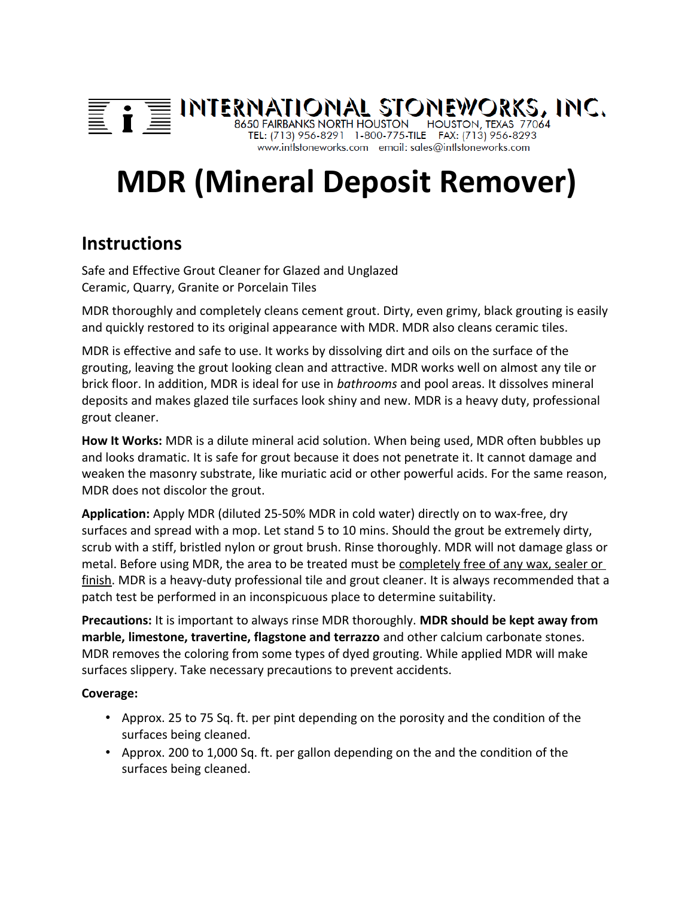## $\equiv \mathbf{i} \equiv \text{INTERNATIONAL STONEWORS, INC}$ <br> $\equiv \mathbf{i} \equiv \text{INTERNATION}$  bouston, texas 77064 www.intlstoneworks.com email: sales@intlstoneworks.com

# **MDR (Mineral Deposit Remover)**

## **Instructions**

Safe and Effective Grout Cleaner for Glazed and Unglazed Ceramic, Quarry, Granite or Porcelain Tiles

MDR thoroughly and completely cleans cement grout. Dirty, even grimy, black grouting is easily and quickly restored to its original appearance with MDR. MDR also cleans ceramic tiles.

MDR is effective and safe to use. It works by dissolving dirt and oils on the surface of the grouting, leaving the grout looking clean and attractive. MDR works well on almost any tile or brick floor. In addition, MDR is ideal for use in *bathrooms* and pool areas. It dissolves mineral deposits and makes glazed tile surfaces look shiny and new. MDR is a heavy duty, professional grout cleaner.

**How It Works:** MDR is a dilute mineral acid solution. When being used, MDR often bubbles up and looks dramatic. It is safe for grout because it does not penetrate it. It cannot damage and weaken the masonry substrate, like muriatic acid or other powerful acids. For the same reason, MDR does not discolor the grout.

**Application:** Apply MDR (diluted 25-50% MDR in cold water) directly on to wax-free, dry surfaces and spread with a mop. Let stand 5 to 10 mins. Should the grout be extremely dirty, scrub with a stiff, bristled nylon or grout brush. Rinse thoroughly. MDR will not damage glass or metal. Before using MDR, the area to be treated must be completely free of any wax, sealer or finish. MDR is a heavy-duty professional tile and grout cleaner. It is always recommended that a patch test be performed in an inconspicuous place to determine suitability.

**Precautions:** It is important to always rinse MDR thoroughly. **MDR should be kept away from marble, limestone, travertine, flagstone and terrazzo** and other calcium carbonate stones. MDR removes the coloring from some types of dyed grouting. While applied MDR will make surfaces slippery. Take necessary precautions to prevent accidents.

### **Coverage:**

- Approx. 25 to 75 Sq. ft. per pint depending on the porosity and the condition of the surfaces being cleaned.
- Approx. 200 to 1,000 Sq. ft. per gallon depending on the and the condition of the surfaces being cleaned.